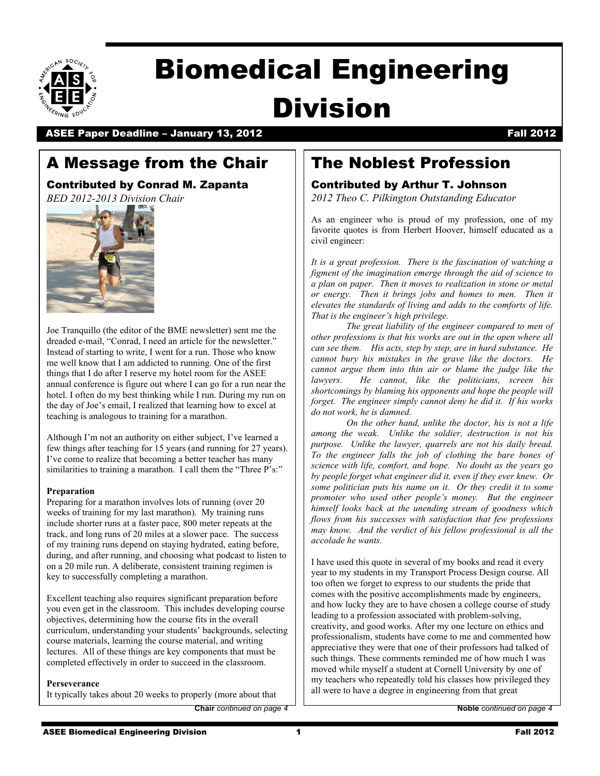

# Biomedical Engineering Division

### ASEE Paper Deadline – January 13, 2012 **Fall** 2012

# A Message from the Chair

### Contributed by Conrad M. Zapanta

*BED 2012-2013 Division Chair*



Joe Tranquillo (the editor of the BME newsletter) sent me the dreaded e-mail, "Conrad, I need an article for the newsletter." Instead of starting to write, I went for a run. Those who know me well know that I am addicted to running. One of the first things that I do after I reserve my hotel room for the ASEE annual conference is figure out where I can go for a run near the hotel. I often do my best thinking while I run. During my run on the day of Joe's email, I realized that learning how to excel at teaching is analogous to training for a marathon.

Although I'm not an authority on either subject, I've learned a few things after teaching for 15 years (and running for 27 years). I've come to realize that becoming a better teacher has many similarities to training a marathon. I call them the "Three P's:"

#### **Preparation**

Preparing for a marathon involves lots of running (over 20 weeks of training for my last marathon). My training runs include shorter runs at a faster pace, 800 meter repeats at the track, and long runs of 20 miles at a slower pace. The success of my training runs depend on staying hydrated, eating before, during, and after running, and choosing what podcast to listen to on a 20 mile run. A deliberate, consistent training regimen is key to successfully completing a marathon.

Excellent teaching also requires significant preparation before you even get in the classroom. This includes developing course objectives, determining how the course fits in the overall curriculum, understanding your students' backgrounds, selecting course materials, learning the course material, and writing lectures. All of these things are key components that must be completed effectively in order to succeed in the classroom.

#### **Perseverance**

It typically takes about 20 weeks to properly (more about that

# The Noblest Profession

### Contributed by Arthur T. Johnson

*2012 Theo C. Pilkington Outstanding Educator*

As an engineer who is proud of my profession, one of my favorite quotes is from Herbert Hoover, himself educated as a civil engineer:

*It is a great profession. There is the fascination of watching a figment of the imagination emerge through the aid of science to a plan on paper. Then it moves to realization in stone or metal or energy. Then it brings jobs and homes to men. Then it elevates the standards of living and adds to the comforts of life. That is the engineer's high privilege.*

*The great liability of the engineer compared to men of other professions is that his works are out in the open where all can see them. His acts, step by step, are in hard substance. He cannot bury his mistakes in the grave like the doctors. He cannot argue them into thin air or blame the judge like the lawyers. He cannot, like the politicians, screen his shortcomings by blaming his opponents and hope the people will forget. The engineer simply cannot deny he did it. If his works do not work, he is damned.*

*On the other hand, unlike the doctor, his is not a life among the weak. Unlike the soldier, destruction is not his purpose. Unlike the lawyer, quarrels are not his daily bread. To the engineer falls the job of clothing the bare bones of science with life, comfort, and hope. No doubt as the years go by people forget what engineer did it, even if they ever knew. Or some politician puts his name on it. Or they credit it to some promoter who used other people's money. But the engineer himself looks back at the unending stream of goodness which flows from his successes with satisfaction that few professions may know. And the verdict of his fellow professional is all the accolade he wants.*

I have used this quote in several of my books and read it every year to my students in my Transport Process Design course. All too often we forget to express to our students the pride that comes with the positive accomplishments made by engineers, and how lucky they are to have chosen a college course of study leading to a profession associated with problem-solving, creativity, and good works. After my one lecture on ethics and professionalism, students have come to me and commented how appreciative they were that one of their professors had talked of such things. These comments reminded me of how much I was moved while myself a student at Cornell University by one of my teachers who repeatedly told his classes how privileged they all were to have a degree in engineering from that great

**Chair** *continued on page 4 Chair continued on page 4 Noble**continued on page 4*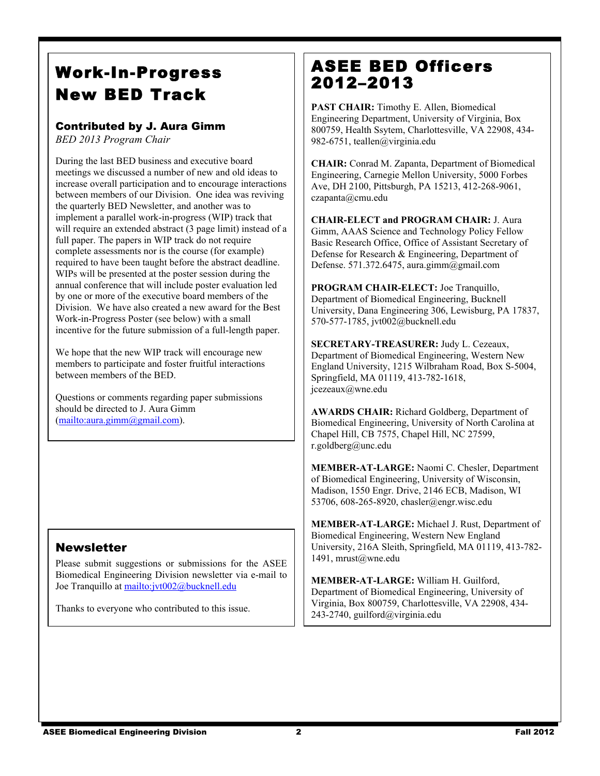# Work-In-Progress New BED Track

### Contributed by J. Aura Gimm

*BED 2013 Program Chair*

During the last BED business and executive board meetings we discussed a number of new and old ideas to increase overall participation and to encourage interactions between members of our Division. One idea was reviving the quarterly BED Newsletter, and another was to implement a parallel work-in-progress (WIP) track that will require an extended abstract (3 page limit) instead of a full paper. The papers in WIP track do not require complete assessments nor is the course (for example) required to have been taught before the abstract deadline. WIPs will be presented at the poster session during the annual conference that will include poster evaluation led by one or more of the executive board members of the Division. We have also created a new award for the Best Work-in-Progress Poster (see below) with a small incentive for the future submission of a full-length paper.

We hope that the new WIP track will encourage new members to participate and foster fruitful interactions between members of the BED.

Questions or comments regarding paper submissions should be directed to J. Aura Gimm (mailto:aura.gimm@gmail.com).

### **Newsletter**

Please submit suggestions or submissions for the ASEE Biomedical Engineering Division newsletter via e-mail to Joe Tranquillo at mailto:jvt002@bucknell.edu

Thanks to everyone who contributed to this issue.

### ASEE BED Officers 2012–2013

PAST CHAIR: Timothy E. Allen, Biomedical Engineering Department, University of Virginia, Box 800759, Health Ssytem, Charlottesville, VA 22908, 434- 982-6751, teallen@virginia.edu

**CHAIR:** Conrad M. Zapanta, Department of Biomedical Engineering, Carnegie Mellon University, 5000 Forbes Ave, DH 2100, Pittsburgh, PA 15213, 412-268-9061, czapanta@cmu.edu

**CHAIR-ELECT and PROGRAM CHAIR:** J. Aura Gimm, AAAS Science and Technology Policy Fellow Basic Research Office, Office of Assistant Secretary of Defense for Research & Engineering, Department of Defense. 571.372.6475, aura.gimm@gmail.com

**PROGRAM CHAIR-ELECT:** Joe Tranquillo, Department of Biomedical Engineering, Bucknell University, Dana Engineering 306, Lewisburg, PA 17837, 570-577-1785, jvt002@bucknell.edu

**SECRETARY-TREASURER:** Judy L. Cezeaux, Department of Biomedical Engineering, Western New England University, 1215 Wilbraham Road, Box S-5004, Springfield, MA 01119, 413-782-1618, jcezeaux@wne.edu

**AWARDS CHAIR:** Richard Goldberg, Department of Biomedical Engineering, University of North Carolina at Chapel Hill, CB 7575, Chapel Hill, NC 27599, r.goldberg@unc.edu

**MEMBER-AT-LARGE:** Naomi C. Chesler, Department of Biomedical Engineering, University of Wisconsin, Madison, 1550 Engr. Drive, 2146 ECB, Madison, WI 53706, 608-265-8920, chasler@engr.wisc.edu

**MEMBER-AT-LARGE:** Michael J. Rust, Department of Biomedical Engineering, Western New England University, 216A Sleith, Springfield, MA 01119, 413-782- 1491, mrust@wne.edu

**MEMBER-AT-LARGE:** William H. Guilford, Department of Biomedical Engineering, University of Virginia, Box 800759, Charlottesville, VA 22908, 434- 243-2740, guilford@virginia.edu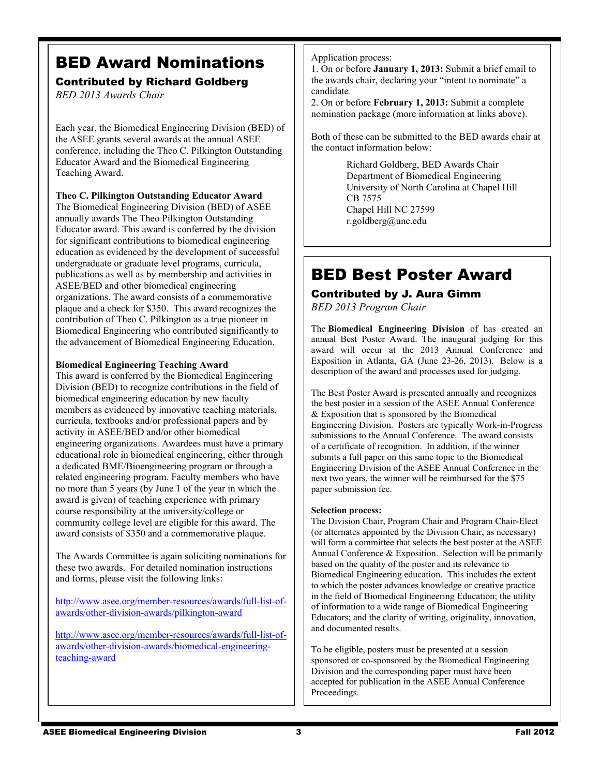# BED Award Nominations

### Contributed by Richard Goldberg

*BED 2013 Awards Chair*

Each year, the Biomedical Engineering Division (BED) of the ASEE grants several awards at the annual ASEE conference, including the Theo C. Pilkington Outstanding Educator Award and the Biomedical Engineering Teaching Award.

### **Theo C. Pilkington Outstanding Educator Award**

The Biomedical Engineering Division (BED) of ASEE annually awards The Theo Pilkington Outstanding Educator award. This award is conferred by the division for significant contributions to biomedical engineering education as evidenced by the development of successful undergraduate or graduate level programs, curricula, publications as well as by membership and activities in ASEE/BED and other biomedical engineering organizations. The award consists of a commemorative plaque and a check for \$350. This award recognizes the contribution of Theo C. Pilkington as a true pioneer in Biomedical Engineering who contributed significantly to the advancement of Biomedical Engineering Education.

### **Biomedical Engineering Teaching Award**

This award is conferred by the Biomedical Engineering Division (BED) to recognize contributions in the field of biomedical engineering education by new faculty members as evidenced by innovative teaching materials, curricula, textbooks and/or professional papers and by activity in ASEE/BED and/or other biomedical engineering organizations. Awardees must have a primary educational role in biomedical engineering, either through a dedicated BME/Bioengineering program or through a related engineering program. Faculty members who have no more than 5 years (by June 1 of the year in which the award is given) of teaching experience with primary course responsibility at the university/college or community college level are eligible for this award. The award consists of \$350 and a commemorative plaque.

The Awards Committee is again soliciting nominations for these two awards. For detailed nomination instructions and forms, please visit the following links:

http://www.asee.org/member-resources/awards/full-list-ofawards/other-division-awards/pilkington-award

http://www.asee.org/member-resources/awards/full-list-ofawards/other-division-awards/biomedical-engineeringteaching-award

#### Application process:

1. On or before **January 1, 2013:** Submit a brief email to the awards chair, declaring your "intent to nominate" a candidate.

2. On or before **February 1, 2013:** Submit a complete nomination package (more information at links above).

Both of these can be submitted to the BED awards chair at the contact information below:

> Richard Goldberg, BED Awards Chair Department of Biomedical Engineering University of North Carolina at Chapel Hill CB 7575 Chapel Hill NC 27599 r.goldberg@unc.edu

# BED Best Poster Award

### Contributed by J. Aura Gimm

*BED 2013 Program Chair*

The **Biomedical Engineering Division** of has created an annual Best Poster Award. The inaugural judging for this award will occur at the 2013 Annual Conference and Exposition in Atlanta, GA (June 23-26, 2013). Below is a description of the award and processes used for judging.

The Best Poster Award is presented annually and recognizes the best poster in a session of the ASEE Annual Conference & Exposition that is sponsored by the Biomedical Engineering Division. Posters are typically Work-in-Progress submissions to the Annual Conference. The award consists of a certificate of recognition. In addition, if the winner submits a full paper on this same topic to the Biomedical Engineering Division of the ASEE Annual Conference in the next two years, the winner will be reimbursed for the \$75 paper submission fee.

### **Selection process:**

The Division Chair, Program Chair and Program Chair-Elect (or alternates appointed by the Division Chair, as necessary) will form a committee that selects the best poster at the ASEE Annual Conference & Exposition. Selection will be primarily based on the quality of the poster and its relevance to Biomedical Engineering education. This includes the extent to which the poster advances knowledge or creative practice in the field of Biomedical Engineering Education; the utility of information to a wide range of Biomedical Engineering Educators; and the clarity of writing, originality, innovation, and documented results.

To be eligible, posters must be presented at a session sponsored or co-sponsored by the Biomedical Engineering Division and the corresponding paper must have been accepted for publication in the ASEE Annual Conference Proceedings.